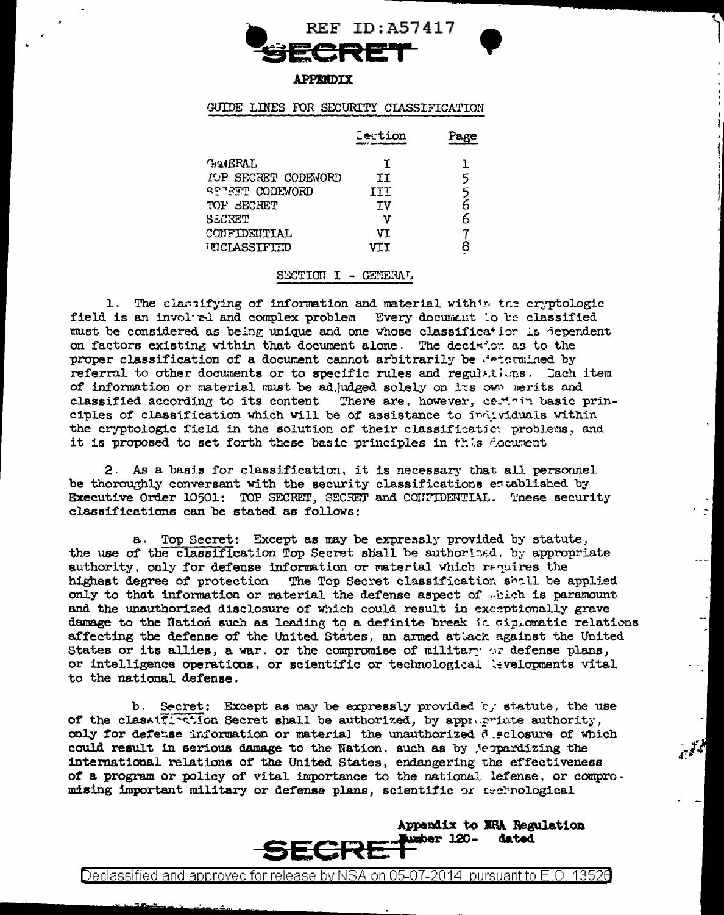

#### **APPENDIX**

# GUIDE LINES FOR SECURITY CLASSIFICATION

|                       | Lection | Page |
|-----------------------|---------|------|
| <b>GAMERAL</b>        | T.      | L    |
| IOP SECRET CODEWORD   | II      | 5    |
| <b>STIRT CODEWORD</b> | III     | 5    |
| TOP SECRET            | τv      | 6    |
| SECRET                | ν       | 6    |
| CONFIDENTIAL          | VΤ      |      |
| UICLASSIFIED          | VII     |      |
|                       |         |      |

## SECTION I - GENERAL

1. The classifying of information and material within the cryptologic field is an involved and complex problem Every document to be classified must be considered as being unique and one whose classification is dependent on factors existing within that document alone. The decision as to the proper classification of a document cannot arbitrarily be determined by referral to other documents or to specific rules and regulations. Each item of information or material must be adjudged solely on its own merits and classified according to its content There are, however, certain basic principles of classification which will be of assistance to individuals within the cryptologic field in the solution of their classificatic: problems, and it is proposed to set forth these basic principles in this document

2. As a basis for classification, it is necessary that all personnel be thoroughly conversant with the security classifications established by Executive Order 10501: TOP SECRET, SECRET and CONTIDENTIAL. These security classifications can be stated as follows:

a. Top Secret: Except as may be expressly provided by statute, the use of the classification Top Secret shall be authorized. by appropriate authority, only for defense information or material which requires the highest degree of protection The Top Secret classification shall be applied only to that information or material the defense aspect of which is paramount and the unauthorized disclosure of which could result in exceptionally grave damage to the Nation such as leading to a definite break is diplomatic relations affecting the defense of the United States, an armed attack against the United States or its allies, a war, or the compromise of military or defense plans, or intelligence operations, or scientific or technological tevelopments vital to the national defense.

b. Secret: Except as may be expressly provided rj statute, the use of the class: interest shall be authorized, by appropriate authority, only for defense information or material the unauthorized declosure of which could result in serious damage to the Nation, such as by jeppardizing the international relations of the United States, endangering the effectiveness of a program or policy of vital importance to the national lefense, or compromising important military or defense plans, scientific or technological

> Appendix to NSA Regulation **Aumber 120**dated SECRI

Declassified and approved for release by NSA on 05-07-2014  $\,$  pursuant to E.O. 13526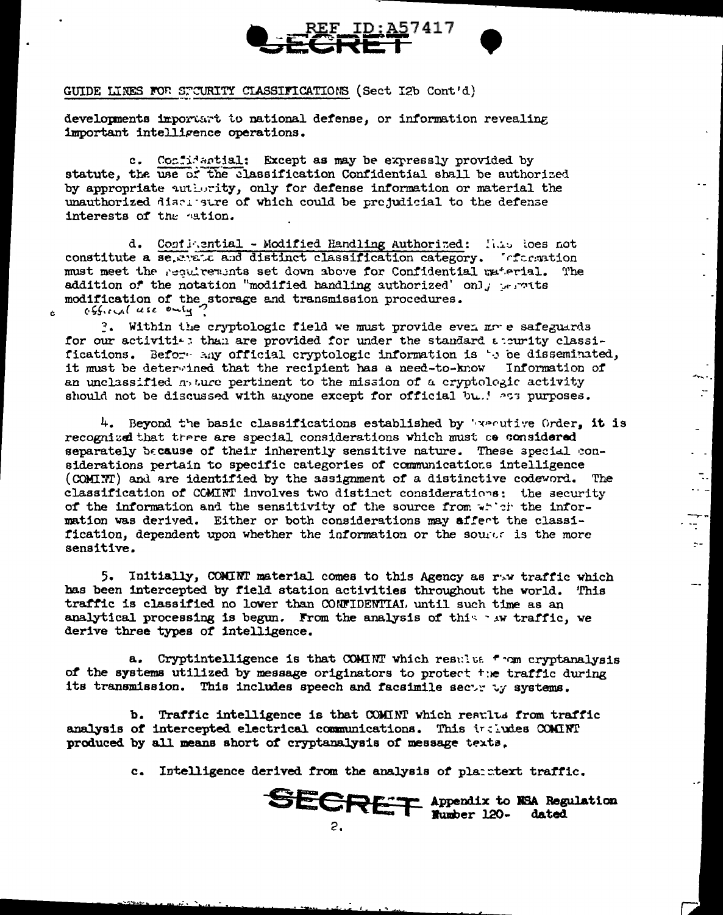

 $\sim$ 

 $\mathcal{L}^{\pm}$ 

 $\mathbb{Z}^{\mathbb{Z}}$ 

 $\sim$ 

 $\cdot$   $\cdot$   $\cdot$ 

t.

 $\sim$   $\sim$ 

 $\overline{\phantom{a}}$ 

# GUIDE LINES FOR STOURITY CLASSIFICATIONS (Sect I2b Cont'd)

 $\mathbf{r}$ 

developments important to national defense, or information revealing important intelligence operations.

c. Confidential: Except as may be expressly provided by statute, the use of the classification Confidential shall be authorized by appropriate authority, only for defense information or material the unauthorized discipatre of which could be projudicial to the defense interests of the nation.

d. Configential - Modified Handling Authorized: Hans loes not constitute a se, evel and distinct classification category. The mation must meet the resulterants set down above for Confidential material. The addition of the notation "modified handling authorized' only permits modification of the storage and transmission procedures.  $0.5$ ficial use only?

?. Within the cryptologic field we must provide even more safeguards for our activiti-: than are provided for under the standard accurity classifications. Before any official cryptologic information is 's be disseminated, it must be determined that the recipient has a need-to-know Information of an unclassified  $\eta$  ture pertinent to the mission of a cryptologic activity should not be discussed with anyone except for official bu.! ass purposes.

4. Beyond the basic classifications established by Warnive Order, it is recognized that trere are special considerations which must co considered separately because of their inherently sensitive nature. These special considerations pertain to specific categories of communications intelligence (COMINT) and are identified by the assignment of a distinctive codeword. The classification of COMINT involves two distinct considerations: the security of the information and the sensitivity of the source from which the information was derived. Either or both considerations may affert the classification, dependent upon whether the information or the source is the more sensitive.

5. Initially, COMINT material comes to this Agency as raw traffic which has been intercepted by field station activities throughout the world. This traffic is classified no lower than CONFIDENTIAI, until such time as an analytical processing is begun. From the analysis of this aw traffic, we derive three types of intelligence.

a. Cryptintelligence is that COMINT which results from cryptanalysis of the systems utilized by message originators to protect the traffic during its transmission. This includes speech and facsimile sectricy systems.

b. Traffic intelligence is that COMINT which reaults from traffic analysis of intercepted electrical communications. This includes COMINT produced by all means short of cryptanalysis of message texts.

c. Intelligence derived from the analysis of planstext traffic.

**SECRET** Appendix to NSA Regulation  $2.$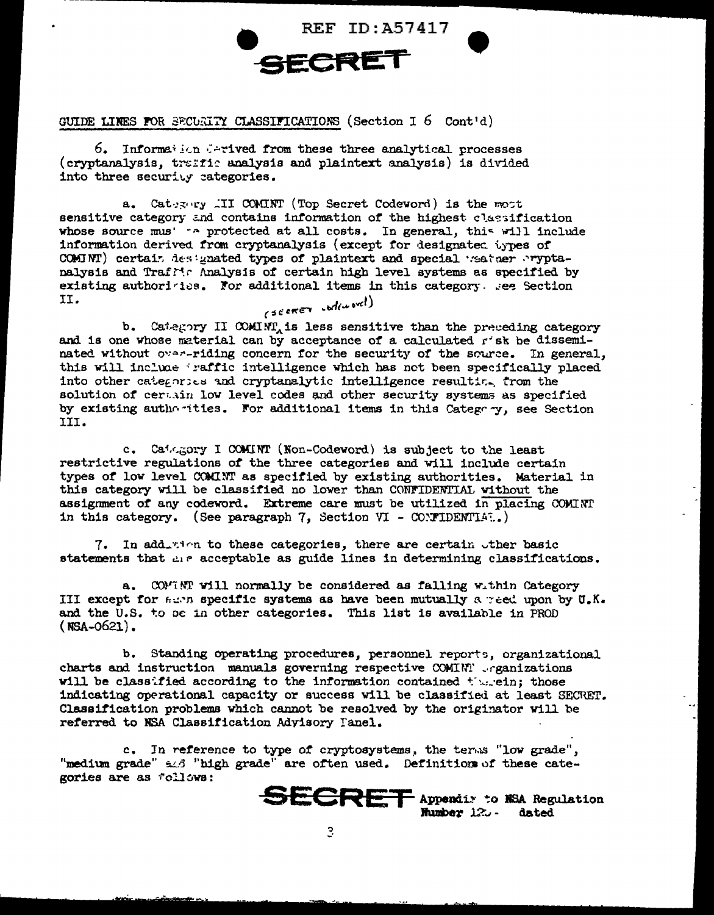

GUIDE LINES FOR SECURITY CLASSIFICATIONS (Section  $1.6$  Cont'd)

6. Information ferived from these three analytical processes (cryptanalysis, traffic analysis and plaintext analysis) is divided into three security categories.

Category III COMINT (Top Secret Codeword) is the most  $a_{\bullet}$ sensitive category and contains information of the highest classification whose source mus' - a protected at all costs. In general, this will include information derived from cryptanalysis (except for designated types of COMINT) certain destgnated types of plaintext and special weather pryptanalysis and Traffic Analysis of certain high level systems as specified by existing authoricies. For additional items in this category. See Section II. (SECRET codeword)

b. Category II COMINT, is less sensitive than the preceding category and is one whose material can by acceptance of a calculated r'sk be disseminated without over-riding concern for the security of the source. In general, this will include iraffic intelligence which has not been specifically placed into other categories and cryptanalytic intelligence resulting from the solution of certain low level codes and other security systems as specified by existing authorities. For additional items in this Category, see Section III.

c. Category I COMINT (Non-Codeword) is subject to the least restrictive regulations of the three categories and will include certain types of low level COMINT as specified by existing authorities. Material in this category will be classified no lower than CONFIDENTIAL without the assignment of any codeword. Extreme care must be utilized in placing COMINT in this category. (See paragraph 7, Section VI - CONFIDENTIAL.)

In addition to these categories, there are certain other basic 7. statements that are acceptable as guide lines in determining classifications.

a. COMMINI will normally be considered as falling within Category III except for seen specific systems as have been mutually a reed upon by U.K. and the U.S. to be in other categories. This list is available in PROD  $(NSA-0621)$ .

b. Standing operating procedures, personnel reports, organizational charts and instruction manuals governing respective COMINT . rganizations will be classified according to the information contained therein; those indicating operational capacity or success will be classified at least SECRET. Classification problems which cannot be resolved by the originator will be referred to NSA Classification Advisory Tanel.

c. In reference to type of cryptosystems, the terms "low grade", "medium grade" and "high grade" are often used. Definitions of these categories are as follows: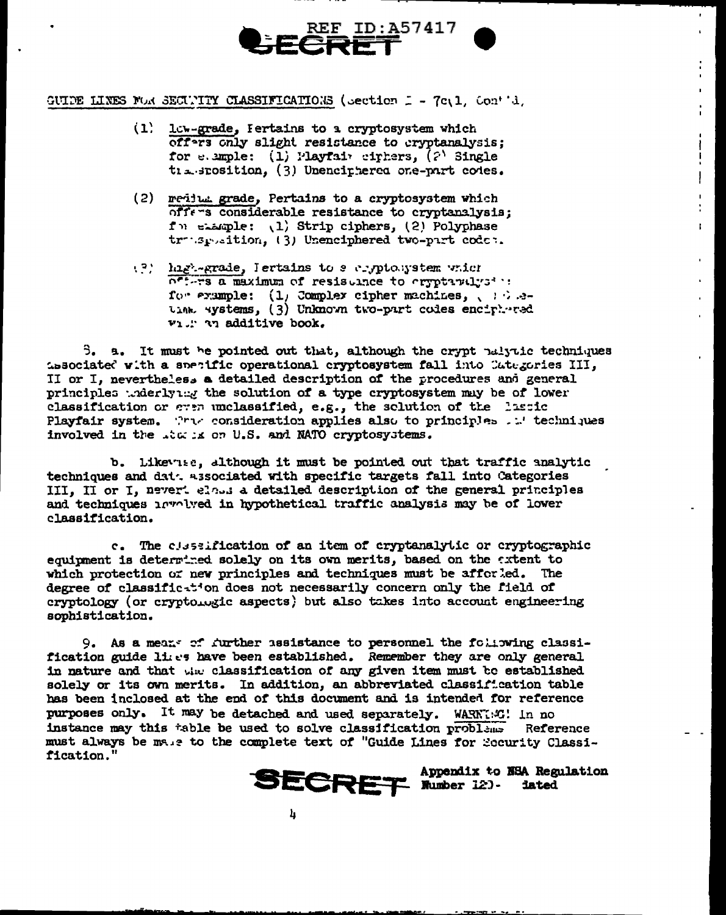

GUIDE LINES FOR SECULITY CLASSIFICATIONS (Section I - 7c.1, Contid.

- (1) low-grade, Fertains to a cryptosystem which offers only slight resistance to cryptanalysis: for e.ample: (1) Playfair cirkers, (2) Single tia sposition, (3) Unenciphered one-part codes.
- (2) medium grade, Pertains to a cryptosystem which offers considerable resistance to cryptanalysis; for elample: (1) Strip ciphers, (2) Polyphase trusposition, (3) Unenciphered two-part codes.
- (?) high-grade, lertains to a cryptolystem which off-rs a maximum of resistance to errotavalysi : for example: (1) Complex cipher machines, (3) atime systems, (3) Unknown two-part codes enciphered vi. The additive book.

ŧ.

3. a. It must be pointed out that, although the crypt ralytic techniques associated with a specific operational cryptosystem fall into Categories III, II or I, nevertheless a detailed description of the procedures and general principles where yet the solution of a type cryptosystem may be of lower classification or even unclassified, e.g., the solution of the lassic Playfair system. The consideration applies also to principles . We techniques involved in the .tx is on U.S. and NATO cryptosystems.

b. Likevise, although it must be pointed out that traffic analytic techniques and dat. associated with specific targets fall into Categories III, II or I, nevert eloss a detailed description of the general principles and techniques involved in hypothetical traffic analysis may be of lower classification.

c. The classification of an item of cryptanalytic or cryptographic equipment is determined solely on its own merits, based on the extent to which protection or new principles and techniques must be afferded. The degree of classific-tion does not necessarily concern only the field of cryptology (or cryptologic aspects) but also takes into account engineering sophistication.

9. As a mean- of further assistance to personnel the following classification guide lies have been established. Remember they are only general in nature and that the classification of any given item must be established solely or its own merits. In addition, an abbreviated classification table has been inclosed at the end of this document and is intended for reference purposes only. It may be detached and used separately. WARNT:53! In no instance may this table be used to solve classification problems Reference must always be male to the complete text of "Guide Lines for Security Classification."

Appendix to NSA Regulation **SECRET Nutber 12). iated**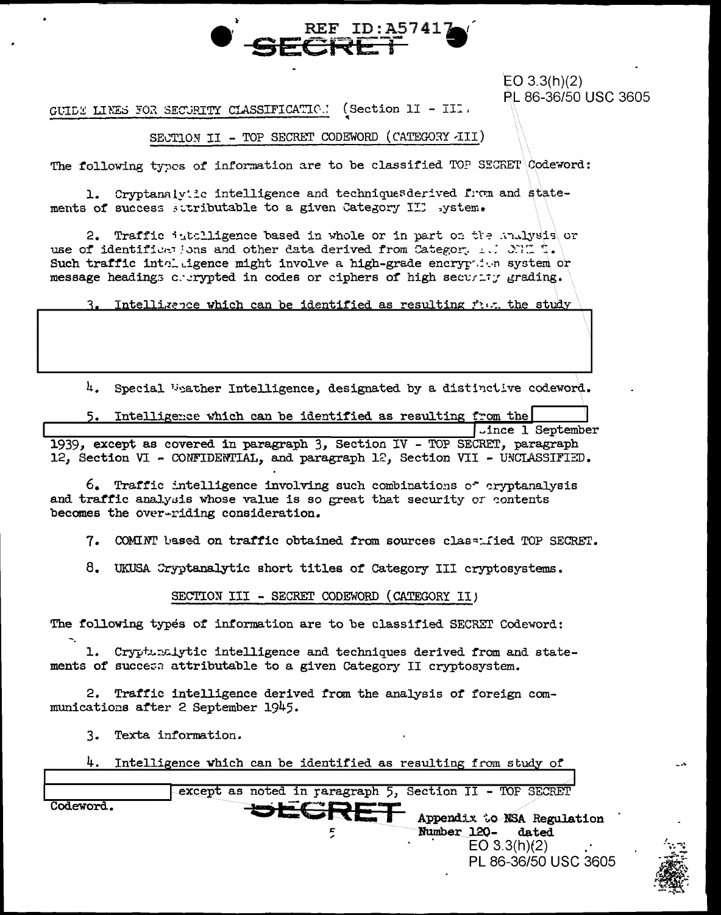

 $EO 3.3(h)(2)$ PL 86-36/50 USC 3605

(Section  $11 - 111$ . GUIDE LINES FOR SECURITY CLASSIFICATION

# SECTION II - TOP SECRET CODEWORD (CATEGORY JII)

The following types of information are to be classified TOP SECRET Codeword:

1. Cryptanalviic intelligence and techniquesderived from and statements of success sutributable to a given Category III system.

2. Traffic intelligence based in whole or in part on the mulysis or use of identifications and other data derived from Category 1.1 CONC T. Such traffic into igence might involve a high-grade eneryped waystem or message headings charged in codes or ciphers of high security grading.

3. Intelligence which can be identified as resulting five the study

 $\mu$ . Special Weather Intelligence, designated by a distinctive codeword.

5. Intelligence which can be identified as resulting from the Jince 1 September

1939, except as covered in paragraph 3, Section IV - TOP SECRET, paragraph 12, Section VI - CONFIDENTIAL, and paragraph 12, Section VII - UNCLASSIFIED.

 $6.$  Traffic intelligence involving such combinations of cryptanalysis and traffic analysis whose value is so great that security or contents becomes the over-riding consideration.

7. COMINT based on traffic obtained from sources class: fied TOP SECRET.

8. UKUSA Cryptanalytic short titles of Category III cryptosystems.

SECTION III - SECRET CODEWORD (CATEGORY II)

The following types of information are to be classified SECRET Codeword:

1. Cryptunalytic intelligence and techniques derived from and statements of success attributable to a given Category II cryptosystem.

2. Traffic intelligence derived from the analysis of foreign communications after 2 September 1945.

3. Texta information.

|  | $4.$ Intelligence which can be identified as resulting from study of |  |  |  |  |  |  |  |  |  |
|--|----------------------------------------------------------------------|--|--|--|--|--|--|--|--|--|
|--|----------------------------------------------------------------------|--|--|--|--|--|--|--|--|--|

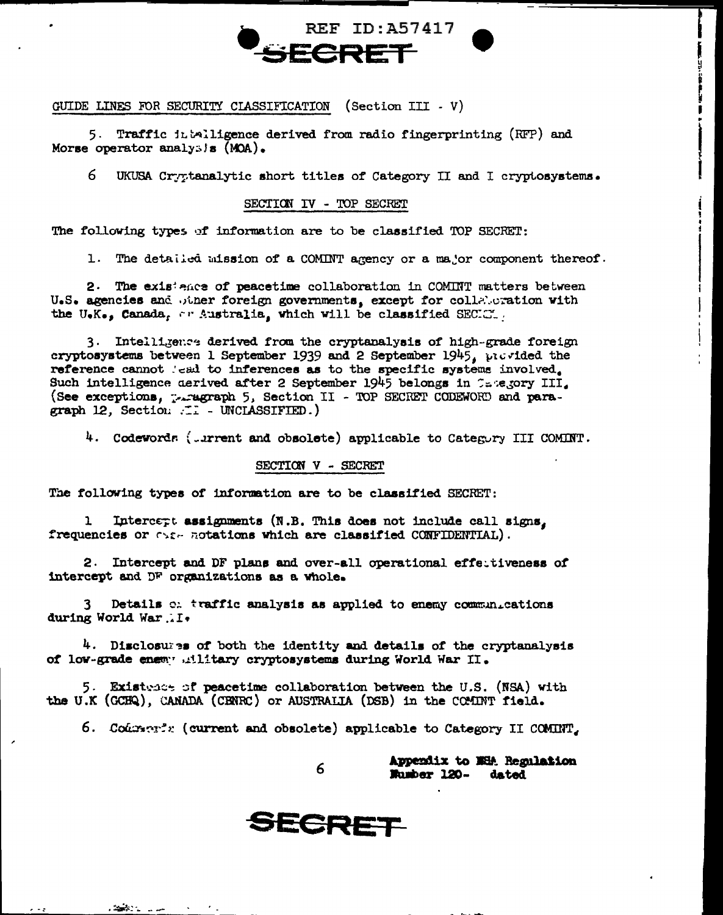

GUIDE LINES FOR SECURITY CLASSIFICATION (Section III - V)

5. Traffic intalligence derived from radio fingerprinting (RFP) and Morse operator analysis  $(MOA)$ .

6. UKUSA Cryptanalytic short titles of Category II and I cryptosystems.

SECTION IV - TOP SECRET

The following types of information are to be classified TOP SECRET:

1. The detailed mission of a COMINT agency or a major component thereof.

2. The existence of peacetime collaboration in COMINT matters between U.S. agencies and other foreign governments, except for collaboration with the U.K., Canada, or Australia, which will be classified SECICT.

3. Intelligence derived from the cryptanalysis of high-grade foreign cryptosystems between 1 September 1939 and 2 September 1945, provided the reference cannot lead to inferences as to the specific systems involved. Such intelligence derived after 2 September 1945 belongs in Category III. (See exceptions, persgraph 5, Section II - TOP SECRET CODEWORD and paragraph 12, Section ... - UNCLASSIFIED.)

4. Codewords (.urrent and obsolete) applicable to Category III COMINT.

#### SECTION V - SECRET

The following types of information are to be classified SECRET:

Intercept assignments (N.B. This does not include call signs, ı frequencies or example attions which are classified CONFIDENTIAL).

2. Intercept and DF plans and over-all operational effectiveness of intercept and DF organizations as a whole.

Details c. traffic analysis as applied to enemy communications during World War. I.

4. Disclosures of both the identity and details of the cryptanalysis of low-grade enemy .illitary cryptosystems during World War II.

5. Existence of peacetime collaboration between the U.S. (NSA) with the U.K (GCHQ), CANADA (CENRC) or AUSTRALIA (DSB) in the CCMINT field.

6. Codenent: (current and obsolete) applicable to Category II COMINT,

Appendix to NHA Regulation Musber 120dated



ا المناسبات .<br>منابع

6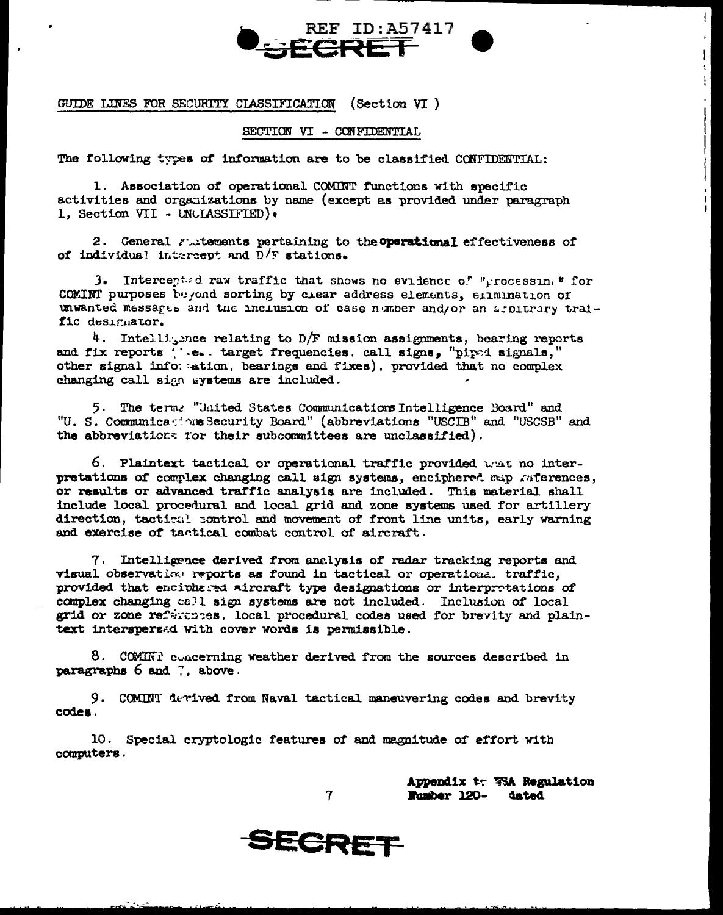

GUIDE LINES FOR SECURITY CLASSIFICATION (Section  $VT$ )

#### SECTION VI - CONFIDENTIAL

The following types of information are to be classified CONFIDENTIAL:

1. Association of operational COMINT functions with specific activities and organizations by name (except as provided under paragraph 1. Section VII - UNCLASSIFIED).

2. General rutements pertaining to the **operational** effectiveness of of individual intercept and  $D/F$  stations.

3. Intercepted raw traffic that shows no evidence of "processin, " for COMINT purposes beyond sorting by clear address elements, elimination of unwanted messares and the inclusion of case number and/or an arbitrary traific designator.

4. Intelligence relating to D/F mission assignments, bearing reports and fix reports ( '.e. target frequencies, call signs, "piped signals," other signal information, bearings and fixes), provided that no complex changing call sign eystems are included.

5. The terms "United States Communications Intelligence Board" and "U. S. Communications Security Board" (abbreviations "USCIB" and "USCSB" and the abbreviations for their subcommittees are unclassified).

6. Plaintext tactical or operational traffic provided wat no interpretations of complex changing call sign systems, enciphered map references, or results or advanced traffic analysis are included. This material shall include local procedural and local grid and zone systems used for artillery direction, tactical control and movement of front line units, early warning and exercise of tactical combat control of aircraft.

7. Intelligence derived from analysis of radar tracking reports and visual observation reports as found in tactical or operational traffic, provided that enciphered aircraft type designations or interpretations of complex changing call sign systems are not included. Inclusion of local grid or zone references, local procedural codes used for brevity and plaintext interspersed with cover words is permissible.

8. COMINI concerning weather derived from the sources described in paragraphs 6 and 7, above.

9. COMINT derived from Naval tactical maneuvering codes and brevity codes.

10. Special cryptologic features of and magnitude of effort with computers.

 $\overline{7}$ 

Appendix to VSA Regulation Mumber 120- dated

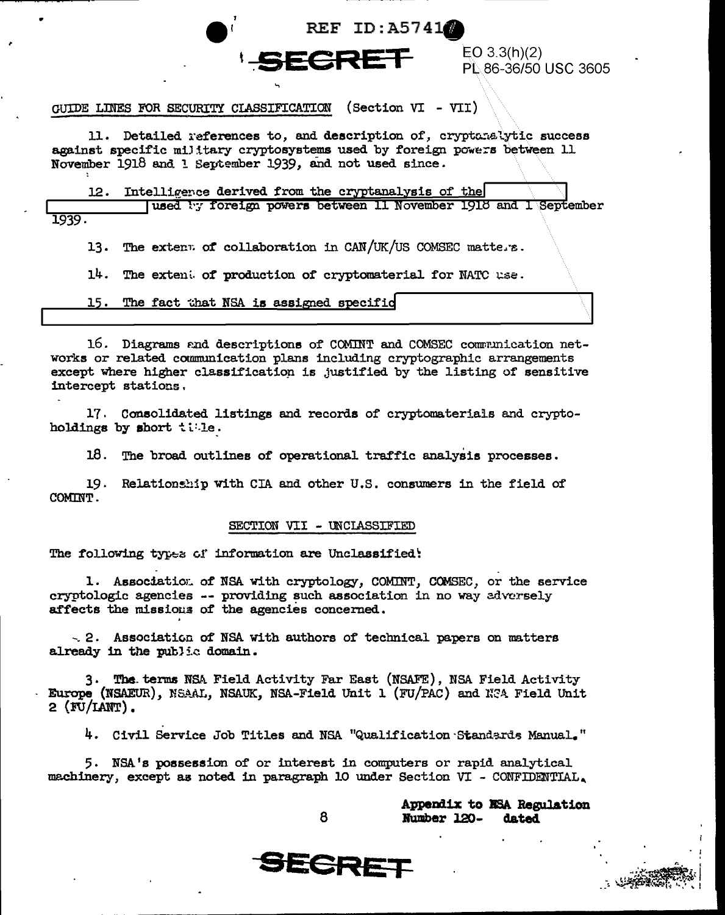

EO 3.3(h)(2) PL 86-36/50 USC 3605

# GUIDE LINES FOR SECURITY CLASSIFICATION (Section VI - VII)

11. Detailed references to, and description of, cryptanalytic success against specific military cryptosystems used by foreign powers between 11 November 1918 and 1 September 1939, and not used since.

Intelligence derived from the cryptanalysis of the 12.

used by foreign powers between 11 November 1918 and 1 September 1939.

The extent of collaboration in CAN/UK/US COMSEC matters. 13.

14. The extent of production of cryptomaterial for NATC use.

15. The fact that NSA is assigned specific

16. Diagrams and descriptions of COMINT and COMSEC communication networks or related communication plans including cryptographic arrangements except where higher classification is justified by the listing of sensitive intercept stations.

17. Consolidated listings and records of cryptomaterials and cryptoholdings by short tile.

18. The broad outlines of operational traffic analysis processes.

19. Relationship with CIA and other U.S. consumers in the field of COMINT.

#### SECTION VII - UNCLASSIFIED

The following types of information are Unclassified:

1. Association of NSA with cryptology, COMINT, COMSEC, or the service cryptologic agencies -- providing such association in no way adversely affects the missions of the agencies concerned.

 $\sim$  2. Association of NSA with authors of technical papers on matters already in the public domain.

3. The terms NSA Field Activity Far East (NSAFE), NSA Field Activity Europe (NSAEUR), NSAAL, NSAUK, NSA-Field Unit 1 (FU/PAC) and NSA Field Unit  $2$  (FU/LANT).

4. Civil Service Job Titles and NSA "Qualification Standards Manual."

5. NSA's possession of or interest in computers or rapid analytical machinery, except as noted in paragraph 10 under Section VI - CONFIDENTIAL.

8

Appendix to NSA Regulation Number 120dated

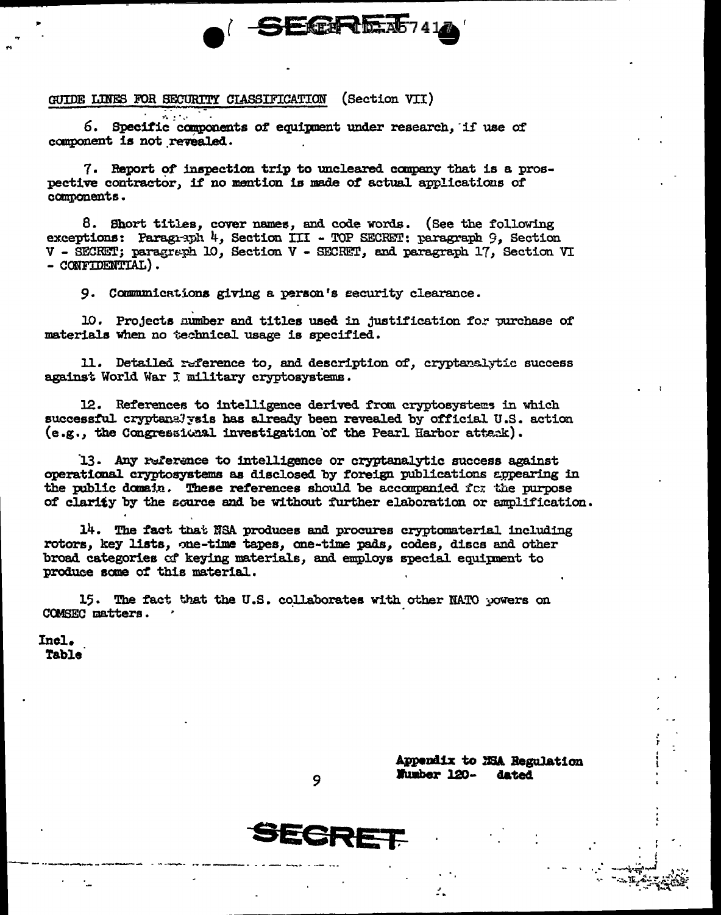## GUIDE LINES FOR SECURITY CIASSIFICATION (Section VII)

6. Specific components of equipment under research. if use of component is not revealed.

7. Report of inspection trip to uncleared company that is a prospective contractor, if no mention is made of actual applications of components.

**ELERITAIR** 

8. Short titles, cover names, and code words. (See the following exceptions: Paragraph 4. Section III - TOP SECRET: paragraph 9. Section V - SECRET; paragraph 10, Section V - SECRET, and paragraph 17, Section VI  $-$  CONFIDENTIAL).

9. Communications giving a person's security clearance.

10. Projects number and titles used in justification for purchase of materials when no technical usage is specified.

11. Detailed reference to, and description of, cryptanalytic success against World War J military cryptosystems.

12. References to intelligence derived from cryptosystems in which successful cryptenalysis has already been revealed by official U.S. action (e.g., the Congressional investigation of the Pearl Harbor attack).

13. Any reference to intelligence or cryptanalytic success against operational cryptosystems as disclosed by foreign publications appearing in the public domain. These references should be accompanied for the purpose of clarity by the source and be without further elaboration or amplification.

14. The fact that NSA produces and procures cryptomaterial including rotors, key lists, one-time tapes, one-time pads, codes, discs and other broad categories of keying materials, and employs special equipment to produce some of this material.

15. The fact that the U.S. collaborates with other NATO powers on COMSEC matters.

Incl. **Table** 

> Appendix to MSA Regulation Number 120dated



9